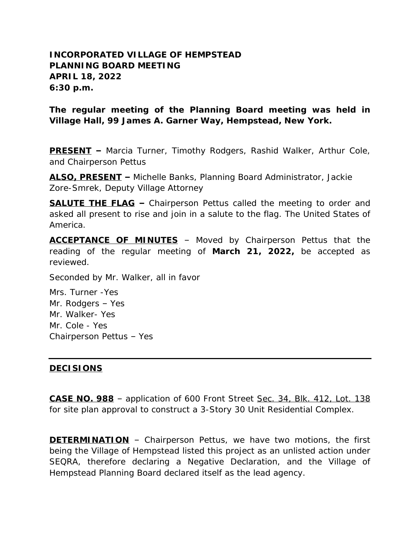## **INCORPORATED VILLAGE OF HEMPSTEAD PLANNING BOARD MEETING APRIL 18, 2022 6:30 p.m.**

**The regular meeting of the Planning Board meeting was held in Village Hall, 99 James A. Garner Way, Hempstead, New York.**

**PRESENT –** Marcia Turner, Timothy Rodgers, Rashid Walker, Arthur Cole, and Chairperson Pettus

**ALSO, PRESENT –** Michelle Banks, Planning Board Administrator, Jackie Zore-Smrek, Deputy Village Attorney

**SALUTE THE FLAG –** Chairperson Pettus called the meeting to order and asked all present to rise and join in a salute to the flag. The United States of America.

**ACCEPTANCE OF MINUTES** – Moved by Chairperson Pettus that the reading of the regular meeting of **March 21, 2022,** be accepted as reviewed.

Seconded by Mr. Walker, all in favor

Mrs. Turner -Yes Mr. Rodgers – Yes Mr. Walker- Yes Mr. Cole - Yes Chairperson Pettus – Yes

## **DECISIONS**

**CASE NO. 988** – application of 600 Front Street Sec. 34, Blk. 412, Lot. 138 for site plan approval to construct a 3-Story 30 Unit Residential Complex.

**DETERMINATION** – Chairperson Pettus, we have two motions, the first being the Village of Hempstead listed this project as an unlisted action under SEQRA, therefore declaring a Negative Declaration, and the Village of Hempstead Planning Board declared itself as the lead agency.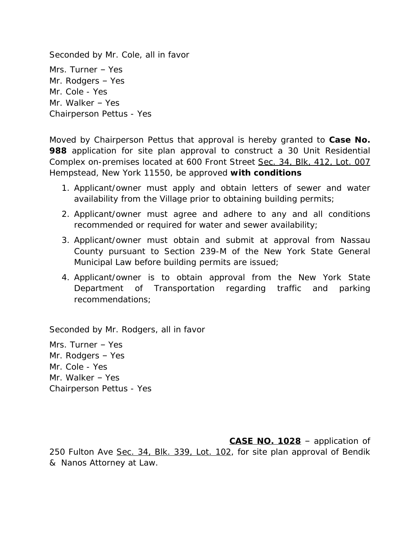Seconded by Mr. Cole, all in favor Mrs. Turner – Yes Mr. Rodgers – Yes Mr. Cole - Yes Mr. Walker – Yes Chairperson Pettus - Yes

Moved by Chairperson Pettus that approval is hereby granted to **Case No. 988** application for site plan approval to construct a 30 Unit Residential Complex on-premises located at 600 Front Street Sec. 34, Blk, 412, Lot. 007 Hempstead, New York 11550, be approved **with conditions**

- 1. Applicant/owner must apply and obtain letters of sewer and water availability from the Village prior to obtaining building permits;
- 2. Applicant/owner must agree and adhere to any and all conditions recommended or required for water and sewer availability;
- 3. Applicant/owner must obtain and submit at approval from Nassau County pursuant to Section 239-M of the New York State General Municipal Law before building permits are issued;
- 4. Applicant/owner is to obtain approval from the New York State Department of Transportation regarding traffic and parking recommendations;

Seconded by Mr. Rodgers, all in favor

Mrs. Turner – Yes Mr. Rodgers – Yes Mr. Cole - Yes Mr. Walker – Yes Chairperson Pettus - Yes

**CASE NO. 1028** – application of 250 Fulton Ave Sec. 34, Blk. 339, Lot. 102, for site plan approval of Bendik & Nanos Attorney at Law.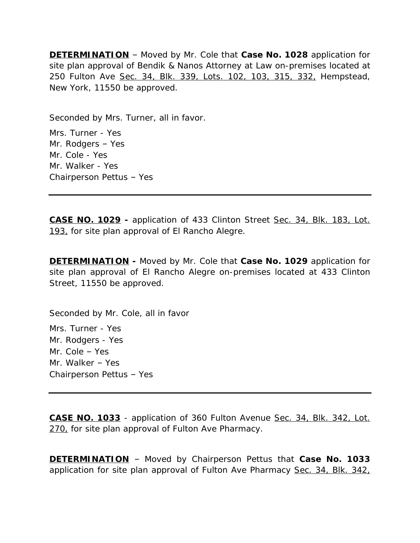**DETERMINATION** – Moved by Mr. Cole that **Case No. 1028** application for site plan approval of Bendik & Nanos Attorney at Law on-premises located at 250 Fulton Ave Sec. 34, Blk. 339, Lots. 102, 103, 315, 332, Hempstead, New York, 11550 be approved.

Seconded by Mrs. Turner, all in favor.

Mrs. Turner - Yes Mr. Rodgers – Yes Mr. Cole - Yes Mr. Walker - Yes Chairperson Pettus – Yes

**CASE NO. 1029 -** application of 433 Clinton Street Sec. 34, Blk. 183, Lot. 193, for site plan approval of El Rancho Alegre.

**DETERMINATION -** Moved by Mr. Cole that **Case No. 1029** application for site plan approval of El Rancho Alegre on-premises located at 433 Clinton Street, 11550 be approved.

Seconded by Mr. Cole, all in favor

Mrs. Turner - Yes Mr. Rodgers - Yes Mr. Cole – Yes Mr. Walker – Yes Chairperson Pettus – Yes

**CASE NO. 1033** - application of 360 Fulton Avenue Sec. 34, Blk. 342, Lot. 270, for site plan approval of Fulton Ave Pharmacy.

**DETERMINATION** – Moved by Chairperson Pettus that **Case No. 1033** application for site plan approval of Fulton Ave Pharmacy Sec. 34, Blk. 342,